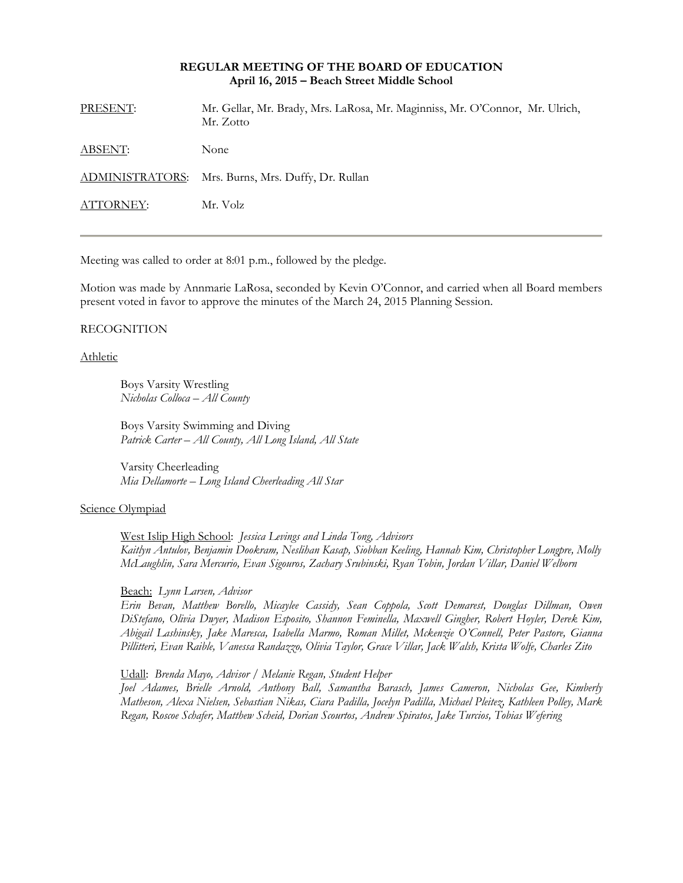# **REGULAR MEETING OF THE BOARD OF EDUCATION April 16, 2015 – Beach Street Middle School**

| PRESENT:  | Mr. Gellar, Mr. Brady, Mrs. LaRosa, Mr. Maginniss, Mr. O'Connor, Mr. Ulrich,<br>Mr. Zotto |
|-----------|-------------------------------------------------------------------------------------------|
| ABSENT:   | None                                                                                      |
|           | ADMINISTRATORS: Mrs. Burns, Mrs. Duffy, Dr. Rullan                                        |
| ATTORNEY: | Mr. Volz                                                                                  |
|           |                                                                                           |

Meeting was called to order at 8:01 p.m., followed by the pledge.

Motion was made by Annmarie LaRosa, seconded by Kevin O'Connor, and carried when all Board members present voted in favor to approve the minutes of the March 24, 2015 Planning Session.

#### RECOGNITION

Athletic

Boys Varsity Wrestling *Nicholas Colloca – All County* 

Boys Varsity Swimming and Diving *Patrick Carter – All County, All Long Island, All State* 

Varsity Cheerleading *Mia Dellamorte – Long Island Cheerleading All Star* 

# Science Olympiad

West Islip High School: *Jessica Levings and Linda Tong, Advisors Kaitlyn Antulov, Benjamin Dookram, Neslihan Kasap, Siobban Keeling, Hannah Kim, Christopher Longpre, Molly McLaughlin, Sara Mercurio, Evan Sigouros, Zachary Srubinski, Ryan Tobin, Jordan Villar, Daniel Welborn* 

Beach: *Lynn Larsen, Advisor* 

*Erin Bevan, Matthew Borello, Micaylee Cassidy, Sean Coppola, Scott Demarest, Douglas Dillman, Owen DiStefano, Olivia Dwyer, Madison Esposito, Shannon Feminella, Maxwell Gingher, Robert Hoyler, Derek Kim, Abigail Lashinsky, Jake Maresca, Isabella Marmo, Roman Millet, Mckenzie O'Connell, Peter Pastore, Gianna Pillitteri, Evan Raible, Vanessa Randazzo, Olivia Taylor, Grace Villar, Jack Walsh, Krista Wolfe, Charles Zito* 

Udall: *Brenda Mayo, Advisor / Melanie Regan, Student Helper Joel Adames, Brielle Arnold, Anthony Ball, Samantha Barasch, James Cameron, Nicholas Gee, Kimberly Matheson, Alexa Nielsen, Sebastian Nikas, Ciara Padilla, Jocelyn Padilla, Michael Pleitez, Kathleen Polley, Mark* 

*Regan, Roscoe Schafer, Matthew Scheid, Dorian Scourtos, Andrew Spiratos, Jake Turcios, Tobias Wefering*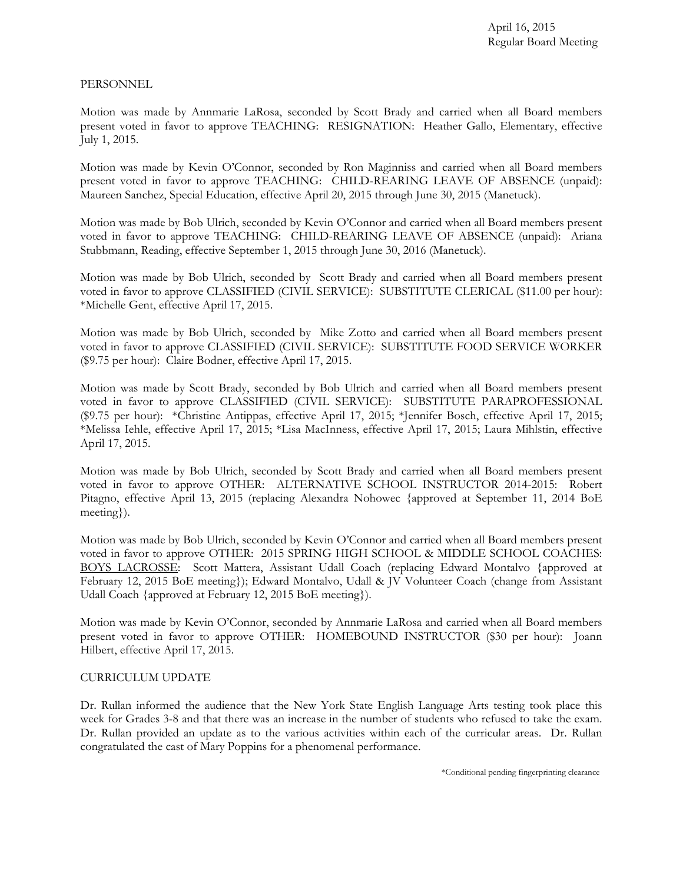# PERSONNEL

Motion was made by Annmarie LaRosa, seconded by Scott Brady and carried when all Board members present voted in favor to approve TEACHING: RESIGNATION: Heather Gallo, Elementary, effective July 1, 2015.

Motion was made by Kevin O'Connor, seconded by Ron Maginniss and carried when all Board members present voted in favor to approve TEACHING: CHILD-REARING LEAVE OF ABSENCE (unpaid): Maureen Sanchez, Special Education, effective April 20, 2015 through June 30, 2015 (Manetuck).

Motion was made by Bob Ulrich, seconded by Kevin O'Connor and carried when all Board members present voted in favor to approve TEACHING: CHILD-REARING LEAVE OF ABSENCE (unpaid): Ariana Stubbmann, Reading, effective September 1, 2015 through June 30, 2016 (Manetuck).

Motion was made by Bob Ulrich, seconded by Scott Brady and carried when all Board members present voted in favor to approve CLASSIFIED (CIVIL SERVICE): SUBSTITUTE CLERICAL (\$11.00 per hour): \*Michelle Gent, effective April 17, 2015.

Motion was made by Bob Ulrich, seconded by Mike Zotto and carried when all Board members present voted in favor to approve CLASSIFIED (CIVIL SERVICE): SUBSTITUTE FOOD SERVICE WORKER (\$9.75 per hour): Claire Bodner, effective April 17, 2015.

Motion was made by Scott Brady, seconded by Bob Ulrich and carried when all Board members present voted in favor to approve CLASSIFIED (CIVIL SERVICE): SUBSTITUTE PARAPROFESSIONAL (\$9.75 per hour): \*Christine Antippas, effective April 17, 2015; \*Jennifer Bosch, effective April 17, 2015; \*Melissa Iehle, effective April 17, 2015; \*Lisa MacInness, effective April 17, 2015; Laura Mihlstin, effective April 17, 2015.

Motion was made by Bob Ulrich, seconded by Scott Brady and carried when all Board members present voted in favor to approve OTHER: ALTERNATIVE SCHOOL INSTRUCTOR 2014-2015: Robert Pitagno, effective April 13, 2015 (replacing Alexandra Nohowec {approved at September 11, 2014 BoE meeting}).

Motion was made by Bob Ulrich, seconded by Kevin O'Connor and carried when all Board members present voted in favor to approve OTHER: 2015 SPRING HIGH SCHOOL & MIDDLE SCHOOL COACHES: BOYS LACROSSE: Scott Mattera, Assistant Udall Coach (replacing Edward Montalvo {approved at February 12, 2015 BoE meeting}); Edward Montalvo, Udall & JV Volunteer Coach (change from Assistant Udall Coach {approved at February 12, 2015 BoE meeting}).

Motion was made by Kevin O'Connor, seconded by Annmarie LaRosa and carried when all Board members present voted in favor to approve OTHER: HOMEBOUND INSTRUCTOR (\$30 per hour): Joann Hilbert, effective April 17, 2015.

# CURRICULUM UPDATE

Dr. Rullan informed the audience that the New York State English Language Arts testing took place this week for Grades 3-8 and that there was an increase in the number of students who refused to take the exam. Dr. Rullan provided an update as to the various activities within each of the curricular areas. Dr. Rullan congratulated the cast of Mary Poppins for a phenomenal performance.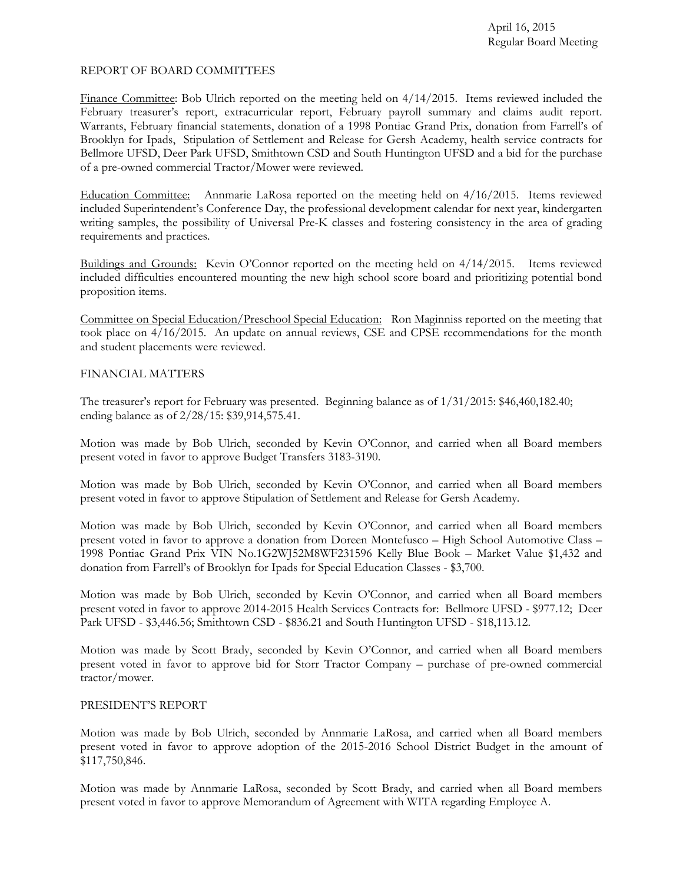# REPORT OF BOARD COMMITTEES

Finance Committee: Bob Ulrich reported on the meeting held on 4/14/2015. Items reviewed included the February treasurer's report, extracurricular report, February payroll summary and claims audit report. Warrants, February financial statements, donation of a 1998 Pontiac Grand Prix, donation from Farrell's of Brooklyn for Ipads, Stipulation of Settlement and Release for Gersh Academy, health service contracts for Bellmore UFSD, Deer Park UFSD, Smithtown CSD and South Huntington UFSD and a bid for the purchase of a pre-owned commercial Tractor/Mower were reviewed.

Education Committee: Annmarie LaRosa reported on the meeting held on 4/16/2015. Items reviewed included Superintendent's Conference Day, the professional development calendar for next year, kindergarten writing samples, the possibility of Universal Pre-K classes and fostering consistency in the area of grading requirements and practices.

Buildings and Grounds: Kevin O'Connor reported on the meeting held on 4/14/2015. Items reviewed included difficulties encountered mounting the new high school score board and prioritizing potential bond proposition items.

Committee on Special Education/Preschool Special Education: Ron Maginniss reported on the meeting that took place on 4/16/2015. An update on annual reviews, CSE and CPSE recommendations for the month and student placements were reviewed.

# FINANCIAL MATTERS

The treasurer's report for February was presented. Beginning balance as of 1/31/2015: \$46,460,182.40; ending balance as of 2/28/15: \$39,914,575.41.

Motion was made by Bob Ulrich, seconded by Kevin O'Connor, and carried when all Board members present voted in favor to approve Budget Transfers 3183-3190.

Motion was made by Bob Ulrich, seconded by Kevin O'Connor, and carried when all Board members present voted in favor to approve Stipulation of Settlement and Release for Gersh Academy.

Motion was made by Bob Ulrich, seconded by Kevin O'Connor, and carried when all Board members present voted in favor to approve a donation from Doreen Montefusco – High School Automotive Class – 1998 Pontiac Grand Prix VIN No.1G2WJ52M8WF231596 Kelly Blue Book – Market Value \$1,432 and donation from Farrell's of Brooklyn for Ipads for Special Education Classes - \$3,700.

Motion was made by Bob Ulrich, seconded by Kevin O'Connor, and carried when all Board members present voted in favor to approve 2014-2015 Health Services Contracts for: Bellmore UFSD - \$977.12; Deer Park UFSD - \$3,446.56; Smithtown CSD - \$836.21 and South Huntington UFSD - \$18,113.12.

Motion was made by Scott Brady, seconded by Kevin O'Connor, and carried when all Board members present voted in favor to approve bid for Storr Tractor Company – purchase of pre-owned commercial tractor/mower.

### PRESIDENT'S REPORT

Motion was made by Bob Ulrich, seconded by Annmarie LaRosa, and carried when all Board members present voted in favor to approve adoption of the 2015-2016 School District Budget in the amount of \$117,750,846.

Motion was made by Annmarie LaRosa, seconded by Scott Brady, and carried when all Board members present voted in favor to approve Memorandum of Agreement with WITA regarding Employee A.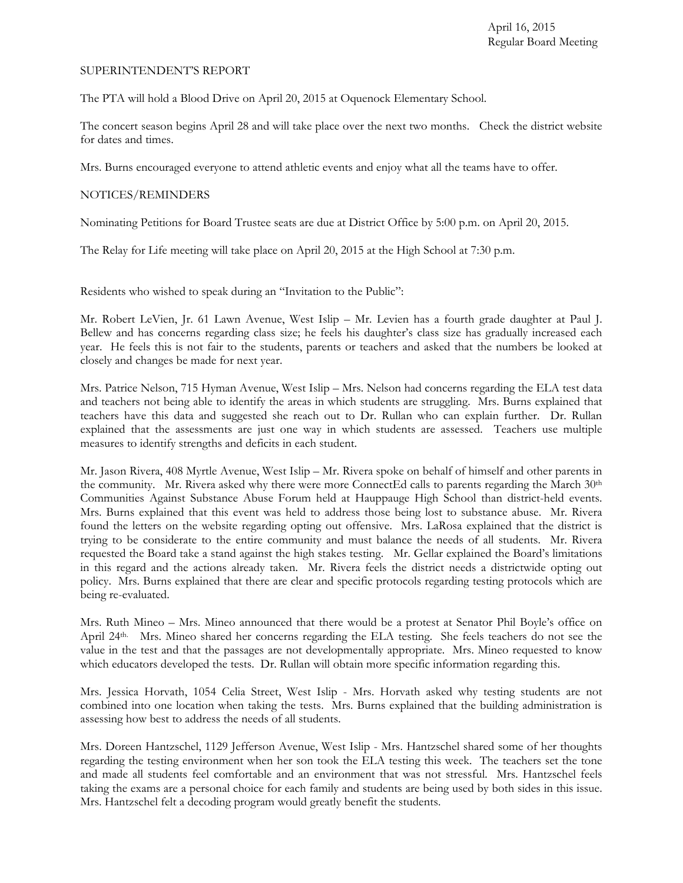#### SUPERINTENDENT'S REPORT

The PTA will hold a Blood Drive on April 20, 2015 at Oquenock Elementary School.

The concert season begins April 28 and will take place over the next two months. Check the district website for dates and times.

Mrs. Burns encouraged everyone to attend athletic events and enjoy what all the teams have to offer.

### NOTICES/REMINDERS

Nominating Petitions for Board Trustee seats are due at District Office by 5:00 p.m. on April 20, 2015.

The Relay for Life meeting will take place on April 20, 2015 at the High School at 7:30 p.m.

Residents who wished to speak during an "Invitation to the Public":

Mr. Robert LeVien, Jr. 61 Lawn Avenue, West Islip – Mr. Levien has a fourth grade daughter at Paul J. Bellew and has concerns regarding class size; he feels his daughter's class size has gradually increased each year. He feels this is not fair to the students, parents or teachers and asked that the numbers be looked at closely and changes be made for next year.

Mrs. Patrice Nelson, 715 Hyman Avenue, West Islip – Mrs. Nelson had concerns regarding the ELA test data and teachers not being able to identify the areas in which students are struggling. Mrs. Burns explained that teachers have this data and suggested she reach out to Dr. Rullan who can explain further. Dr. Rullan explained that the assessments are just one way in which students are assessed. Teachers use multiple measures to identify strengths and deficits in each student.

Mr. Jason Rivera, 408 Myrtle Avenue, West Islip – Mr. Rivera spoke on behalf of himself and other parents in the community. Mr. Rivera asked why there were more ConnectEd calls to parents regarding the March 30<sup>th</sup> Communities Against Substance Abuse Forum held at Hauppauge High School than district-held events. Mrs. Burns explained that this event was held to address those being lost to substance abuse. Mr. Rivera found the letters on the website regarding opting out offensive. Mrs. LaRosa explained that the district is trying to be considerate to the entire community and must balance the needs of all students. Mr. Rivera requested the Board take a stand against the high stakes testing. Mr. Gellar explained the Board's limitations in this regard and the actions already taken. Mr. Rivera feels the district needs a districtwide opting out policy. Mrs. Burns explained that there are clear and specific protocols regarding testing protocols which are being re-evaluated.

Mrs. Ruth Mineo – Mrs. Mineo announced that there would be a protest at Senator Phil Boyle's office on April 24th. Mrs. Mineo shared her concerns regarding the ELA testing. She feels teachers do not see the value in the test and that the passages are not developmentally appropriate. Mrs. Mineo requested to know which educators developed the tests. Dr. Rullan will obtain more specific information regarding this.

Mrs. Jessica Horvath, 1054 Celia Street, West Islip - Mrs. Horvath asked why testing students are not combined into one location when taking the tests. Mrs. Burns explained that the building administration is assessing how best to address the needs of all students.

Mrs. Doreen Hantzschel, 1129 Jefferson Avenue, West Islip - Mrs. Hantzschel shared some of her thoughts regarding the testing environment when her son took the ELA testing this week. The teachers set the tone and made all students feel comfortable and an environment that was not stressful. Mrs. Hantzschel feels taking the exams are a personal choice for each family and students are being used by both sides in this issue. Mrs. Hantzschel felt a decoding program would greatly benefit the students.